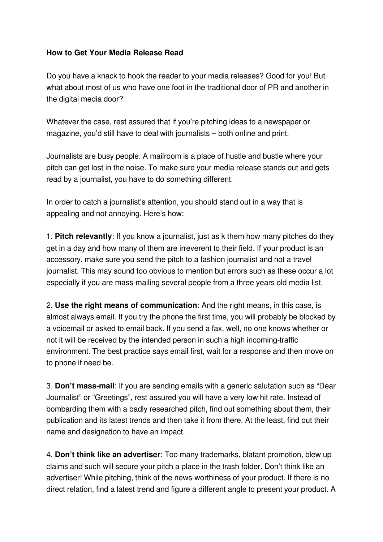## **How to Get Your Media Release Read**

Do you have a knack to hook the reader to your media releases? Good for you! But what about most of us who have one foot in the traditional door of PR and another in the digital media door?

Whatever the case, rest assured that if you're pitching ideas to a newspaper or magazine, you'd still have to deal with journalists – both online and print.

Journalists are busy people. A mailroom is a place of hustle and bustle where your pitch can get lost in the noise. To make sure your media release stands out and gets read by a journalist, you have to do something different.

In order to catch a journalist's attention, you should stand out in a way that is appealing and not annoying. Here's how:

1. **Pitch relevantly**: If you know a journalist, just as k them how many pitches do they get in a day and how many of them are irreverent to their field. If your product is an accessory, make sure you send the pitch to a fashion journalist and not a travel journalist. This may sound too obvious to mention but errors such as these occur a lot especially if you are mass-mailing several people from a three years old media list.

2. **Use the right means of communication**: And the right means, in this case, is almost always email. If you try the phone the first time, you will probably be blocked by a voicemail or asked to email back. If you send a fax, well, no one knows whether or not it will be received by the intended person in such a high incoming-traffic environment. The best practice says email first, wait for a response and then move on to phone if need be.

3. **Don't mass-mail**: If you are sending emails with a generic salutation such as "Dear" Journalist" or "Greetings", rest assured you will have a very low hit rate. Instead of bombarding them with a badly researched pitch, find out something about them, their publication and its latest trends and then take it from there. At the least, find out their name and designation to have an impact.

4. **Don't think like an advertiser**: Too many trademarks, blatant promotion, blew up claims and such will secure your pitch a place in the trash folder. Don't think like an advertiser! While pitching, think of the news-worthiness of your product. If there is no direct relation, find a latest trend and figure a different angle to present your product. A